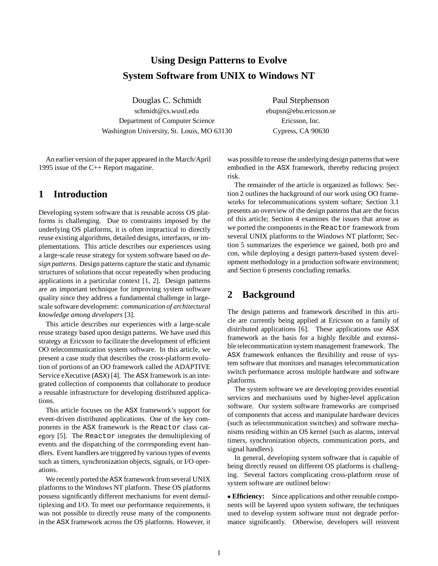# **Using Design Patterns to Evolve System Software from UNIX to Windows NT**

Douglas C. Schmidt Paul Stephenson schmidt@cs.wustl.edu ebupsn@ebu.ericsson.se Department of Computer Science Ericsson, Inc. Washington University, St. Louis, MO 63130 Cypress, CA 90630

An earlier version of the paper appeared in the March/April 1995 issue of the C++ Report magazine.

# **1 Introduction**

Developing system software that is reusable across OS platforms is challenging. Due to constraints imposed by the underlying OS platforms, it is often impractical to directly reuse existing algorithms, detailed designs, interfaces, or implementations. This article describes our experiences using a large-scale reuse strategy for system software based on *design patterns*. Design patterns capture the static and dynamic structures of solutions that occur repeatedly when producing applications in a particular context [1, 2]. Design patterns are an important technique for improving system software quality since they address a fundamental challenge in largescale software development: *communication of architectural knowledge among developers* [3].

This article describes our experiences with a large-scale reuse strategy based upon design patterns. We have used this strategy at Ericsson to facilitate the development of efficient OO telecommunication system software. In this article, we present a case study that describes the cross-platform evolution of portions of an OO framework called the ADAPTIVE Service eXecutive (ASX) [4]. The ASX framework is an integrated collection of components that collaborate to produce a reusable infrastructure for developing distributed applications.

This article focuses on the ASX framework's support for event-driven distributed applications. One of the key components in the ASX framework is the Reactor class category [5]. The Reactor integrates the demultiplexing of events and the dispatching of the corresponding event handlers. Event handlers are triggered by various types of events such as timers, synchronization objects, signals, or I/O operations.

We recently ported the ASX framework from several UNIX platforms to the Windows NT platform. These OS platforms possess significantly different mechanisms for event demultiplexing and I/O. To meet our performance requirements, it was not possible to directly reuse many of the components in the ASX framework across the OS platforms. However, it

was possible to reuse the underlying design patterns that were embodied in the ASX framework, thereby reducing project risk.

The remainder of the article is organized as follows: Section 2 outlines the background of our work using OO frameworks for telecommunications system softare; Section 3.1 presents an overview of the design patterns that are the focus of this article; Section 4 examines the issues that arose as we ported the components in the Reactor framework from several UNIX platforms to the Windows NT platform; Section 5 summarizes the experience we gained, both pro and con, while deploying a design pattern-based system development methodology in a production software environment; and Section 6 presents concluding remarks.

# **2 Background**

The design patterns and framework described in this article are currently being applied at Ericsson on a family of distributed applications [6]. These applications use ASX framework as the basis for a highly flexible and extensible telecommunication system management framework. The ASX framework enhances the flexibility and reuse of system software that monitors and manages telecommunication switch performance across multiple hardware and software platforms.

The system software we are developing provides essential services and mechanisms used by higher-level application software. Our system software frameworks are comprised of components that access and manipulate hardware devices (such as telecommunication switches) and software mechanisms residing within an OS kernel (such as alarms, interval timers, synchronization objects, communication ports, and signal handlers).

In general, developing system software that is capable of being directly reused on different OS platforms is challenging. Several factors complicating cross-platform reuse of system software are outlined below:

 **Efficiency:** Since applications and other reusable components will be layered upon system software, the techniques used to develop system software must not degrade performance significantly. Otherwise, developers will reinvent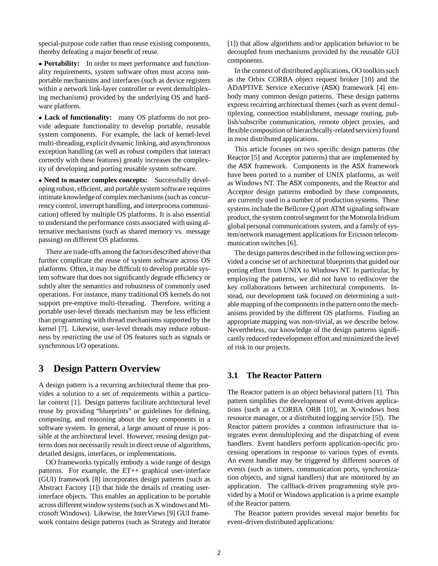special-purpose code rather than reuse existing components, thereby defeating a major benefit of reuse.

 **Portability:** In order to meet performance and functionality requirements, system software often must access nonportable mechanisms and interfaces (such as device registers within a network link-layer controller or event demultiplexing mechanisms) provided by the underlying OS and hardware platform.

 **Lack of functionality:** many OS platforms do not provide adequate functionality to develop portable, reusable system components. For example, the lack of kernel-level multi-threading, explicit dynamic linking, and asynchronous exception handling (as well as robust compilers that interact correctly with these features) greatly increases the complexity of developing and porting reusable system software.

 **Need to master complex concepts:** Successfully developing robust, efficient, and portable system software requires intimate knowledge of complex mechanisms (such as concurrency control, interrupt handling, and interprocess communication) offered by multiple OS platforms. It is also essential to understand the performance costs associated with using alternative mechanisms (such as shared memory vs. message passing) on different OS platforms.

There are trade-offs among the factors described above that further complicate the reuse of system software across OS platforms. Often, it may be difficult to develop portable system software that does not significantly degrade efficiency or subtly alter the semantics and robustness of commonly used operations. For instance, many traditional OS kernels do not support pre-emptive multi-threading. Therefore, writing a portable user-level threads mechanism may be less efficient than programming with thread mechanisms supported by the kernel [7]. Likewise, user-level threads may reduce robustness by restricting the use of OS features such as signals or synchronous I/O operations.

## **3 Design Pattern Overview**

A design pattern is a recurring architectural theme that provides a solution to a set of requirements within a particular context [1]. Design patterns facilitate architectural level reuse by providing "blueprints" or guidelines for defining, composing, and reasoning about the key components in a software system. In general, a large amount of reuse is possible at the architectural level. However, reusing design patterns does not necessarily result in direct reuse of algorithms, detailed designs, interfaces, or implementations.

OO frameworks typically embody a wide range of design patterns. For example, the ET++ graphical user-interface (GUI) framework [8] incorporates design patterns (such as Abstract Factory [1]) that hide the details of creating userinterface objects. This enables an application to be portable across different window systems (such as X windows and Microsoft Windows). Likewise, the InterViews [9] GUI framework contains design patterns (such as Strategy and Iterator

[1]) that allow algorithms and/or application behavior to be decoupled from mechanisms provided by the reusable GUI components.

In the context of distributed applications, OO toolkits such as the Orbix CORBA object request broker [10] and the ADAPTIVE Service eXecutive (ASX) framework [4] embody many common design patterns. These design patterns express recurring architectural themes (such as event demultiplexing, connection establishment, message routing, publish/subscribe communication, remote object proxies, and flexible composition of hierarchically-related services) found in most distributed applications.

This article focuses on two specific design patterns (the Reactor [5] and Acceptor patterns) that are implemented by the ASX framework. Components in the ASX framework have been ported to a number of UNIX platforms, as well as Windows NT. The ASX components, and the Reactor and Acceptor design patterns embodied by these components, are currently used in a number of production systems. These systems include the Bellcore Q.port ATM signaling software product, the system control segment for the Motorola Iridium global personal communications system, and a family of system/network management applications for Ericsson telecommunication switches [6].

The design patterns described in the following section provided a concise set of architectural blueprints that guided our porting effort from UNIX to Windows NT. In particular, by employing the patterns, we did not have to rediscover the key collaborations between architectural components. Instead, our development task focused on determining a suitable mapping of the components in the pattern onto the mechanisms provided by the different OS platforms. Finding an appropriate mapping was non-trivial, as we describe below. Nevertheless, our knowledge of the design patterns significantly reduced redevelopment effort and minimized the level of risk in our projects.

### **3.1 The Reactor Pattern**

The Reactor pattern is an object behavioral pattern [1]. This pattern simplifies the development of event-driven applications (such as a CORBA ORB [10], an X-windows host resource manager, or a distributed logging service [5]). The Reactor pattern provides a common infrastructure that integrates event demultiplexing and the dispatching of event handlers. Event handlers perform application-specific processing operations in response to various types of events. An event handler may be triggered by different sources of events (such as timers, communication ports, synchronization objects, and signal handlers) that are monitored by an application. The callback-driven programming style provided by a Motif or Windows application is a prime example of the Reactor pattern.

The Reactor pattern provides several major benefits for event-driven distributed applications: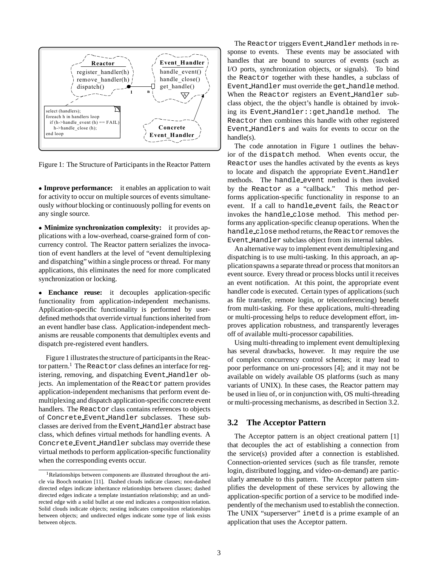

Figure 1: The Structure of Participants in the Reactor Pattern

 **Improve performance:** it enables an application to wait for activity to occur on multiple sources of events simultaneously *without* blocking or continuously polling for events on any single source.

 **Minimize synchronization complexity:** it provides applications with a low-overhead, coarse-grained form of concurrency control. The Reactor pattern serializes the invocation of event handlers at the level of "event demultiplexing and dispatching" within a single process or thread. For many applications, this eliminates the need for more complicated synchronization or locking.

 **Enchance reuse:** it decouples application-specific functionality from application-independent mechanisms. Application-specific functionality is performed by userdefined methods that override virtual functions inherited from an event handler base class. Application-independent mechanisms are reusable components that demultiplex events and dispatch pre-registered event handlers.

Figure 1 illustrates the structure of participantsin the Reactor pattern.<sup>1</sup> The Reactor class defines an interface for registering, removing, and dispatching Event Handler objects. An implementation of the Reactor pattern provides application-independent mechanisms that perform event demultiplexing and dispatch application-specific concrete event handlers. The Reactor class contains references to objects of Concrete Event Handler subclasses. These subclasses are derived from the Event Handler abstract base class, which defines virtual methods for handling events. A Concrete Event Handler subclass may override these virtual methods to perform application-specific functionality when the corresponding events occur.

The Reactor triggers Event Handler methods in response to events. These events may be associated with handles that are bound to sources of events (such as I/O ports, synchronization objects, or signals). To bind the Reactor together with these handles, a subclass of Event Handler must override the get handle method. When the Reactor registers an Event Handler subclass object, the the object's handle is obtained by invoking its Event Handler::get handle method. The Reactor then combines this handle with other registered Event Handlers and waits for events to occur on the handle(s).

The code annotation in Figure 1 outlines the behavior of the dispatch method. When events occur, the Reactor uses the handles activated by the events as keys to locate and dispatch the appropriate Event Handler methods. The handle event method is then invoked by the Reactor as a "callback." This method performs application-specific functionality in response to an event. If a call to handle event fails, the Reactor invokes the handle close method. This method performs any application-specific cleanup operations. When the handle\_close method returns, the Reactor removes the Event Handler subclass object from its internal tables.

An alternative way to implement event demultiplexingand dispatching is to use multi-tasking. In this approach, an applicationspawns a separate thread or process that monitors an event source. Every thread or process blocks until it receives an event notification. At this point, the appropriate event handler code is executed. Certain types of applications (such as file transfer, remote login, or teleconferencing) benefit from multi-tasking. For these applications, multi-threading or multi-processing helps to reduce development effort, improves application robustness, and transparently leverages off of available multi-processor capabilities.

Using multi-threading to implement event demultiplexing has several drawbacks, however. It may require the use of complex concurrency control schemes; it may lead to poor performance on uni-processors [4]; and it may not be available on widely available OS platforms (such as many variants of UNIX). In these cases, the Reactor pattern may be used in lieu of, or in conjunction with, OS multi-threading or multi-processing mechanisms, as described in Section 3.2.

#### **3.2 The Acceptor Pattern**

The Acceptor pattern is an object creational pattern [1] that decouples the act of establishing a connection from the service(s) provided after a connection is established. Connection-oriented services (such as file transfer, remote login, distributed logging, and video-on-demand) are particularly amenable to this pattern. The Acceptor pattern simplifies the development of these services by allowing the application-specific portion of a service to be modified independently of the mechanism used to establish the connection. The UNIX "superserver" inetd is a prime example of an application that uses the Acceptor pattern.

<sup>&</sup>lt;sup>1</sup>Relationships between components are illustrated throughout the article via Booch notation [11]. Dashed clouds indicate classes; non-dashed directed edges indicate inheritance relationships between classes; dashed directed edges indicate a template instantiation relationship; and an undirected edge with a solid bullet at one end indicates a composition relation. Solid clouds indicate objects; nesting indicates composition relationships between objects; and undirected edges indicate some type of link exists between objects.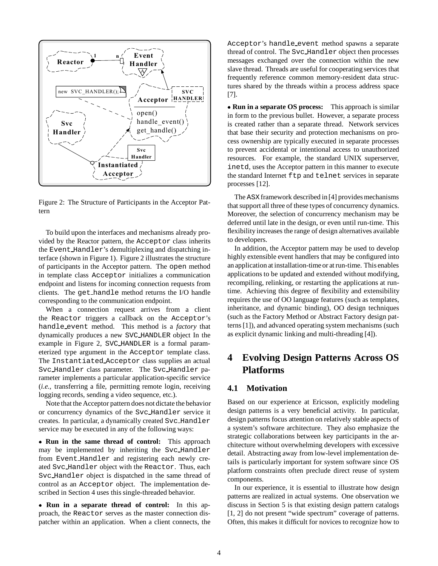

Figure 2: The Structure of Participants in the Acceptor Pattern

To build upon the interfaces and mechanisms already provided by the Reactor pattern, the Acceptor class inherits the Event Handler's demultiplexing and dispatching interface (shown in Figure 1). Figure 2 illustrates the structure of participants in the Acceptor pattern. The open method in template class Acceptor initializes a communication endpoint and listens for incoming connection requests from clients. The get handle method returns the I/O handle corresponding to the communication endpoint.

When a connection request arrives from a client the Reactor triggers a callback on the Acceptor's handle event method. This method is a *factory* that dynamically produces a new SVC HANDLER object In the example in Figure 2, SVC HANDLER is a formal parameterized type argument in the Acceptor template class. The Instantiated Acceptor class supplies an actual Svc Handler class parameter. The Svc Handler parameter implements a particular application-specific service (*i.e.,* transferring a file, permitting remote login, receiving logging records, sending a video sequence, etc.).

Note that the Acceptor pattern does not dictate the behavior or concurrency dynamics of the Svc Handler service it creates. In particular, a dynamically created Svc Handler service may be executed in any of the following ways:

 **Run in the same thread of control:** This approach may be implemented by inheriting the Svc Handler from Event Handler and registering each newly created Svc Handler object with the Reactor. Thus, each Svc Handler object is dispatched in the same thread of control as an Acceptor object. The implementation described in Section 4 uses this single-threaded behavior.

 **Run in a separate thread of control:** In this approach, the Reactor serves as the master connection dispatcher within an application. When a client connects, the Acceptor's handle event method spawns a separate thread of control. The Svc Handler object then processes messages exchanged over the connection within the new slave thread. Threads are useful for cooperating services that frequently reference common memory-resident data structures shared by the threads within a process address space [7].

 **Run in a separate OS process:** This approach is similar in form to the previous bullet. However, a separate process is created rather than a separate thread. Network services that base their security and protection mechanisms on process ownership are typically executed in separate processes to prevent accidental or intentional access to unauthorized resources. For example, the standard UNIX superserver, inetd, uses the Acceptor pattern in this manner to execute the standard Internet ftp and telnet services in separate processes [12].

The ASX framework described in [4] provides mechanisms that support all three of these types of concurrency dynamics. Moreover, the selection of concurrency mechanism may be deferred until late in the design, or even until run-time. This flexibility increases the range of design alternatives available to developers.

In addition, the Acceptor pattern may be used to develop highly extensible event handlers that may be configured into an application at installation-time or at run-time. This enables applications to be updated and extended without modifying, recompiling, relinking, or restarting the applications at runtime. Achieving this degree of flexibility and extensibility requires the use of OO language features (such as templates, inheritance, and dynamic binding), OO design techniques (such as the Factory Method or Abstract Factory design patterns [1]), and advanced operating system mechanisms (such as explicit dynamic linking and multi-threading [4]).

# **4 Evolving Design Patterns Across OS Platforms**

#### **4.1 Motivation**

Based on our experience at Ericsson, explicitly modeling design patterns is a very beneficial activity. In particular, design patterns focus attention on relatively stable aspects of a system's software architecture. They also emphasize the strategic collaborations between key participants in the architecture without overwhelming developers with excessive detail. Abstracting away from low-level implementation details is particularly important for system software since OS platform constraints often preclude direct reuse of system components.

In our experience, it is essential to illustrate how design patterns are realized in actual systems. One observation we discuss in Section 5 is that existing design pattern catalogs [1, 2] do not present "wide spectrum" coverage of patterns. Often, this makes it difficult for novices to recognize how to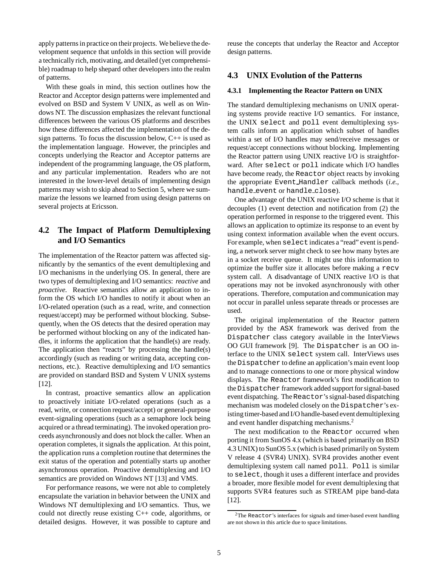apply patterns in practice on their projects. We believe the development sequence that unfolds in this section will provide a technically rich, motivating, and detailed (yet comprehensible) roadmap to help shepard other developers into the realm of patterns.

With these goals in mind, this section outlines how the Reactor and Acceptor design patterns were implemented and evolved on BSD and System V UNIX, as well as on Windows NT. The discussion emphasizes the relevant functional differences between the various OS platforms and describes how these differences affected the implementation of the design patterns. To focus the discussion below, C++ is used as the implementation language. However, the principles and concepts underlying the Reactor and Acceptor patterns are independent of the programming language, the OS platform, and any particular implementation. Readers who are not interested in the lower-level details of implementing design patterns may wish to skip ahead to Section 5, where we summarize the lessons we learned from using design patterns on several projects at Ericsson.

### **4.2 The Impact of Platform Demultiplexing and I/O Semantics**

The implementation of the Reactor pattern was affected significantly by the semantics of the event demultiplexing and I/O mechanisms in the underlying OS. In general, there are two types of demultiplexing and I/O semantics: *reactive* and *proactive*. Reactive semantics allow an application to inform the OS which I/O handles to notify it about when an I/O-related operation (such as a read, write, and connection request/accept) may be performed without blocking. Subsequently, when the OS detects that the desired operation may be performed without blocking on any of the indicated handles, it informs the application that the handle(s) are ready. The application then "reacts" by processing the handle(s) accordingly (such as reading or writing data, accepting connections, etc.). Reactive demultiplexing and I/O semantics are provided on standard BSD and System V UNIX systems [12].

In contrast, proactive semantics allow an application to proactively initiate I/O-related operations (such as a read, write, or connection request/accept) or general-purpose event-signaling operations (such as a semaphore lock being acquired or a thread terminating). The invoked operation proceeds asynchronously and does not block the caller. When an operation completes, it signals the application. At this point, the application runs a completion routine that determines the exit status of the operation and potentially starts up another asynchronous operation. Proactive demultiplexing and I/O semantics are provided on Windows NT [13] and VMS.

For performance reasons, we were not able to completely encapsulate the variation in behavior between the UNIX and Windows NT demultiplexing and I/O semantics. Thus, we could not directly reuse existing C++ code, algorithms, or detailed designs. However, it was possible to capture and reuse the concepts that underlay the Reactor and Acceptor design patterns.

#### **4.3 UNIX Evolution of the Patterns**

#### **4.3.1 Implementing the Reactor Pattern on UNIX**

The standard demultiplexing mechanisms on UNIX operating systems provide reactive I/O semantics. For instance, the UNIX select and poll event demultiplexing system calls inform an application which subset of handles within a set of I/O handles may send/receive messages or request/accept connections without blocking. Implementing the Reactor pattern using UNIX reactive I/O is straightforward. After select or poll indicate which I/O handles have become ready, the Reactor object reacts by invoking the appropriate Event Handler callback methods (*i.e.,* handle event or handle close).

One advantage of the UNIX reactive I/O scheme is that it decouples (1) event detection and notification from (2) the operation performed in response to the triggered event. This allows an application to optimize its response to an event by using context information available when the event occurs. For example, when selectindicates a "read" event is pending, a network server might check to see how many bytes are in a socket receive queue. It might use this information to optimize the buffer size it allocates before making a recv system call. A disadvantage of UNIX reactive I/O is that operations may not be invoked asynchronously with other operations. Therefore, computation and communication may not occur in parallel unless separate threads or processes are used.

The original implementation of the Reactor pattern provided by the ASX framework was derived from the Dispatcher class category available in the InterViews OO GUI framework [9]. The Dispatcher is an OO interface to the UNIX select system call. InterViews uses the Dispatcher to define an application's main event loop and to manage connections to one or more physical window displays. The Reactor framework's first modification to the Dispatcher framework added support for signal-based event dispatching. The Reactor's signal-based dispatching mechanism was modeled closely on the Dispatcher's existing timer-based and I/O handle-based event demultiplexing and event handler dispatching mechanisms.<sup>2</sup>

The next modification to the Reactor occurred when porting it from SunOS 4.x (which is based primarily on BSD 4.3 UNIX) to SunOS 5.x (which is based primarily on System V release 4 (SVR4) UNIX). SVR4 provides another event demultiplexing system call named poll. Poll is similar to select, though it uses a different interface and provides a broader, more flexible model for event demultiplexing that supports SVR4 features such as STREAM pipe band-data [12].

<sup>&</sup>lt;sup>2</sup>The Reactor's interfaces for signals and timer-based event handling are not shown in this article due to space limitations.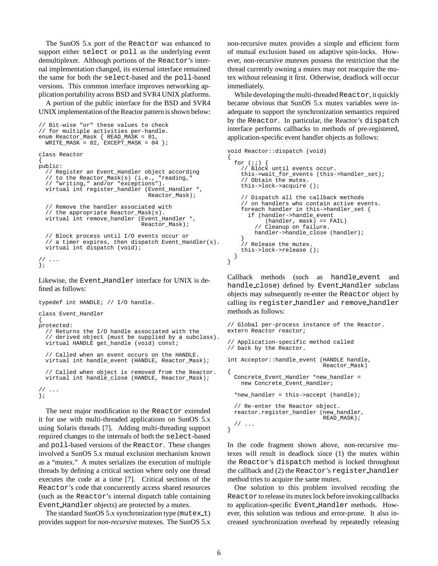The SunOS 5.x port of the Reactor was enhanced to support either select or poll as the underlying event demultiplexer. Although portions of the Reactor's internal implementation changed, its external interface remained the same for both the select-based and the poll-based versions. This common interface improves networking application portability across BSD and SVR4 UNIX platforms.

A portion of the public interface for the BSD and SVR4 UNIX implementation of the Reactor pattern is shown below:

```
// Bit-wise "or" these values to check
// for multiple activities per-handle.
enum Reactor_Mask { READ_MASK = 01,
  WRITE_MASK = 02, EXCEPT_MASK = 04 };
class Reactor
{
public:
  // Register an Event_Handler object according
  // to the Reactor_Mask(s) (i.e., "reading,"
  // "writing," and/or "exceptions").
  virtual int register_handler (Event_Handler *,
                                Reactor_Mask);
  // Remove the handler associated with
  // the appropriate Reactor_Mask(s).
  virtual int remove_handler (Event_Handler *,
                              Reactor_Mask);
  // Block process until I/O events occur or
  // a timer expires, then dispatch Event_Handler(s).
  virtual int dispatch (void);
// ...
```
Likewise, the Event Handler interface for UNIX is defined as follows:

};

```
typedef int HANDLE; // I/O handle.
class Event_Handler
{
protected:
  // Returns the I/O handle associated with the
  // derived object (must be supplied by a subclass).
  virtual HANDLE get_handle (void) const;
  // Called when an event occurs on the HANDLE.
 virtual int handle_event (HANDLE, Reactor_Mask);
  // Called when object is removed from the Reactor.
  virtual int handle_close (HANDLE, Reactor_Mask);
// ...
};
```
The next major modification to the Reactor extended it for use with multi-threaded applications on SunOS 5.x using Solaris threads [7]. Adding multi-threading support required changes to the internals of both the select-based and poll-based versions of the Reactor. These changes involved a SunOS 5.x mutual exclusion mechanism known as a "mutex." A mutex serializes the execution of multiple threads by defining a critical section where only one thread executes the code at a time [7]. Critical sections of the Reactor's code that concurrently access shared resources (such as the Reactor's internal dispatch table containing Event Handler objects) are protected by a mutex.

The standard SunOS 5.x synchronization type  $(m \text{utex}\text{-}t)$ provides support for *non-recursive* mutexes. The SunOS 5.x

non-recursive mutex provides a simple and efficient form of mutual exclusion based on adaptive spin-locks. However, non-recursive mutexes possess the restriction that the thread currently owning a mutex may not reacquire the mutex without releasing it first. Otherwise, deadlock will occur immediately.

While developing the multi-threaded Reactor, it quickly became obvious that SunOS 5.x mutex variables were inadequate to support the synchronization semantics required by the Reactor. In particular, the Reactor's dispatch interface performs callbacks to methods of pre-registered, application-specific event handler objects as follows:

```
void Reactor::dispatch (void)
{
 for (i; j) {
    // Block until events occur.
    this->wait_for_events (this->handler_set);
    // Obtain the mutex.
    this->lock->acquire ();
    // Dispatch all the callback methods
    // on handlers who contain active events.
    foreach handler in this->handler_set {
      if (handler->handle_event
           (handler, mask) == FAIL)
        // Cleanup on failure.
        handler->handle_close (handler);
    }
    // Release the mutex.
    this->lock->release ();
 }
}
```
Callback methods (such as handle event and handle close) defined by Event Handler subclass objects may subsequently re-enter the Reactor object by calling its register handler and remove handler methods as follows:

```
// Global per-process instance of the Reactor.
extern Reactor reactor;
// Application-specific method called
// back by the Reactor.
int Acceptor::handle_event (HANDLE handle,
                            Reactor_Mask)
{
  Concrete_Event_Handler *new_handler =
   new Concrete_Event_Handler;
  *new handler = this->accept (handle);
  // Re-enter the Reactor object.
 reactor.register_handler (new_handler,
                            READ_MASK);
  // ...
}
```
In the code fragment shown above, non-recursive mutexes will result in deadlock since (1) the mutex within the Reactor's dispatch method is locked throughout the callback and (2) the Reactor's register handler method tries to acquire the same mutex.

One solution to this problem involved recoding the Reactor to release its mutex lock before invoking callbacks to application-specific Event Handler methods. However, this solution was tedious and error-prone. It also increased synchronization overhead by repeatedly releasing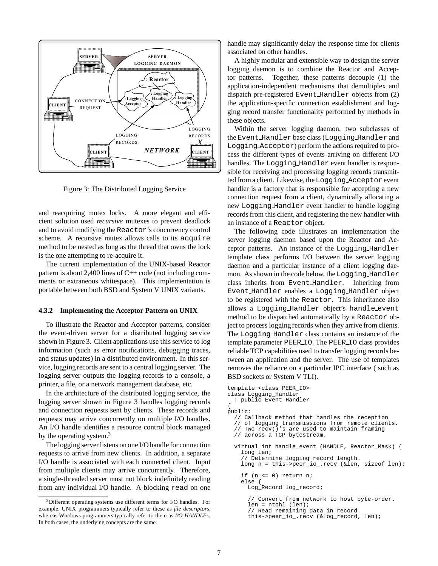

Figure 3: The Distributed Logging Service

and reacquiring mutex locks. A more elegant and efficient solution used *recursive* mutexes to prevent deadlock and to avoid modifying the Reactor's concurrency control scheme. A recursive mutex allows calls to its acquire method to be nested as long as the thread that owns the lock is the one attempting to re-acquire it.

The current implementation of the UNIX-based Reactor pattern is about 2,400 lines of C++ code (not including comments or extraneous whitespace). This implementation is portable between both BSD and System V UNIX variants.

#### **4.3.2 Implementing the Acceptor Pattern on UNIX**

To illustrate the Reactor and Acceptor patterns, consider the event-driven server for a distributed logging service shown in Figure 3. Client applications use this service to log information (such as error notifications, debugging traces, and status updates) in a distributed environment. In this service, logging records are sent to a central logging server. The logging server outputs the logging records to a console, a printer, a file, or a network management database, etc.

In the architecture of the distributed logging service, the logging server shown in Figure 3 handles logging records and connection requests sent by clients. These records and requests may arrive concurrently on multiple I/O handles. An I/O handle identifies a resource control block managed by the operating system.<sup>3</sup>

The logging server listens on one I/O handle for connection requests to arrive from new clients. In addition, a separate I/O handle is associated with each connected client. Input from multiple clients may arrive concurrently. Therefore, a single-threaded server must not block indefinitely reading from any individual I/O handle. A blocking read on one handle may significantly delay the response time for clients associated on other handles.

A highly modular and extensible way to design the server logging daemon is to combine the Reactor and Acceptor patterns. Together, these patterns decouple (1) the application-independent mechanisms that demultiplex and dispatch pre-registered Event Handler objects from (2) the application-specific connection establishment and logging record transfer functionality performed by methods in these objects.

Within the server logging daemon, two subclasses of the Event Handler base class (Logging Handler and Logging Acceptor) perform the actions required to process the different types of events arriving on different I/O handles. The Logging Handler event handler is responsible for receiving and processing logging records transmitted from a client. Likewise, the Logging Acceptor event handler is a factory that is responsible for accepting a new connection request from a client, dynamically allocating a new Logging Handler event handler to handle logging records from this client, and registering the new handler with an instance of a Reactor object.

The following code illustrates an implementation the server logging daemon based upon the Reactor and Acceptor patterns. An instance of the Logging Handler template class performs I/O between the server logging daemon and a particular instance of a client logging daemon. As shown in the code below, the Logging Handler class inherits from Event Handler. Inheriting from Event Handler enables a Logging Handler object to be registered with the Reactor. This inheritance also allows a Logging Handler object's handle event method to be dispatched automatically by a Reactor object to process logging records when they arrive from clients. The Logging Handler class contains an instance of the template parameter PEER IO. The PEER IO class provides reliable TCP capabilities used to transfer logging records between an application and the server. The use of templates removes the reliance on a particular IPC interface ( such as BSD sockets or System V TLI).

```
template <class PEER_IO>
class Logging_Handler
  : public Event_Handler
{
public:
  // Callback method that handles the reception
  // of logging transmissions from remote clients.
  // Two recv()'s are used to maintain framing
  // across a TCP bytestream.
  virtual int handle_event (HANDLE, Reactor_Mask) {
    long len;
    // Determine logging record length.
    long n = this->peer_io_.recv (&len, sizeof len);
    if (n <= 0) return n;
    else {
     Log_Record log_record;
      // Convert from network to host byte-order.
      len = ntohl (len);
      // Read remaining data in record.
      this->peer_io_.recv (&log_record, len);
```
<sup>&</sup>lt;sup>3</sup>Different operating systems use different terms for I/O handles. For example, UNIX programmers typically refer to these as *file descriptors*, whereas Windows programmers typically refer to them as *I/O HANDLEs*. In both cases, the underlying concepts are the same.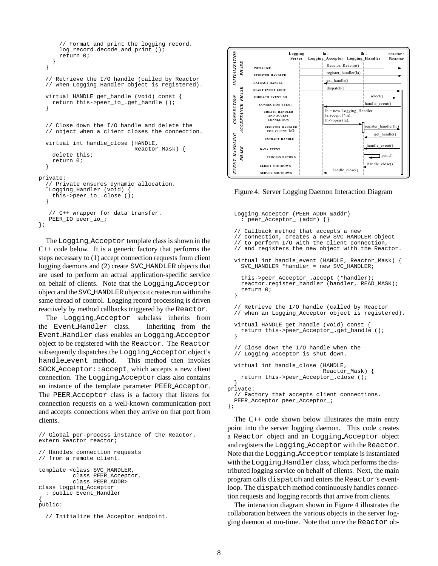```
// Format and print the logging record.
      log_record.decode_and_print ();
      return 0;
    }
  }
  // Retrieve the I/O handle (called by Reactor
  // when Logging_Handler object is registered).
  virtual HANDLE get_handle (void) const {
    return this->peer_io_.get_handle ();
  }
  // Close down the I/O handle and delete the
  // object when a client closes the connection.
  virtual int handle_close (HANDLE,
                             Reactor_Mask) {
    delete this;
    return 0;
  }
private:
  // Private ensures dynamic allocation.
  ˜Logging_Handler (void) {
    this->peer_io_.close ();
  }
   // C++ wrapper for data transfer.
   PEER_IO peer_io_;
};
```
The Logging Acceptor template class is shown in the C++ code below. It is a generic factory that performs the steps necessary to (1) accept connection requests from client logging daemons and (2) create SVC HANDLER objects that are used to perform an actual application-specific service on behalf of clients. Note that the Logging Acceptor object and theSVC HANDLERobjects it creates run within the same thread of control. Logging record processing is driven reactively by method callbacks triggered by the Reactor.

The Logging Acceptor subclass inherits from the Event Handler class. Inheriting from the Event Handler class enables an Logging Acceptor object to be registered with the Reactor. The Reactor subsequently dispatches the Logging Acceptor object's handle event method. This method then invokes SOCK Acceptor::accept, which accepts a new client connection. The Logging Acceptor class also contains an instance of the template parameter PEER Acceptor. The PEER Acceptor class is a factory that listens for connection requests on a well-known communication port and accepts connections when they arrive on that port from clients.

// Global per-process instance of the Reactor. extern Reactor reactor;

```
// Handles connection requests
// from a remote client.
template <class SVC_HANDLER,
```

```
class PEER_Acceptor,
          class PEER_ADDR>
class Logging_Acceptor
  : public Event_Handler
{
public:
```
// Initialize the Acceptor endpoint.



Figure 4: Server Logging Daemon Interaction Diagram

```
Logging_Acceptor (PEER_ADDR &addr)
    : peer_Acceptor_ (addr) {}
  // Callback method that accepts a new
  // connection, creates a new SVC_HANDLER object
  // to perform I/O with the client connection,
  // and registers the new object with the Reactor.
  virtual int handle_event (HANDLE, Reactor_Mask) {
    SVC_HANDLER *handler = new SVC_HANDLER;this->peer_Acceptor_.accept (*handler);
    reactor.register_handler (handler, READ_MASK);
    return 0;
  }
  // Retrieve the I/O handle (called by Reactor
  // when an Logging_Acceptor object is registered).
  virtual HANDLE get_handle (void) const {
   return this->peer_Acceptor_.get_handle ();
  }
  // Close down the I/O handle when the
  // Logging_Acceptor is shut down.
 virtual int handle_close (HANDLE,
                            Reactor_Mask) {
    return this->peer_Acceptor_.close ();
  }
private:
  // Factory that accepts client connections.
  PEER_Acceptor peer_Acceptor_;
};
```
The C++ code shown below illustrates the main entry point into the server logging daemon. This code creates a Reactor object and an Logging Acceptor object and registers the Logging Acceptor with the Reactor. Note that the Logging Acceptor template is instantiated with the Logging Handler class, which performs the distributed logging service on behalf of clients. Next, the main program calls dispatch and enters the Reactor's eventloop. The dispatch method continuously handles connection requests and logging records that arrive from clients.

The interaction diagram shown in Figure 4 illustrates the collaboration between the various objects in the server logging daemon at run-time. Note that once the Reactor ob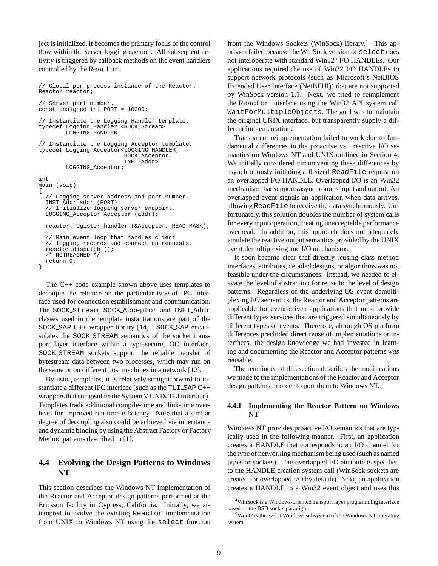ject is initialized, it becomes the primary focus of the control flow within the server logging daemon. All subsequent activity is triggered by callback methods on the event handlers controlled by the Reactor.

```
// Global per-process instance of the Reactor.
Reactor reactor;
// Server port number.
const unsigned int PORT = 10000;
// Instantiate the Logging_Handler template.
typedef Logging_Handler <SOCK_Stream>
        LOGGING_HANDLER;
// Instantiate the Logging_Acceptor template.
typedef Logging_Acceptor<LOGGING_HANDLER,
                         SOCK_Acceptor,
                         INET_Addr>
        LOGGING_Acceptor;
int
main (void)
{
  // Logging server address and port number.
  INET_Addr addr (PORT);
  // Initialize logging server endpoint.
  LOGGING_Acceptor Acceptor (addr);
  reactor.register_handler (&Acceptor, READ_MASK);
  // Main event loop that handles client
  // logging records and connection requests.
  reactor.dispatch ();
  /* NOTREACHED */
 return 0;
}
```
The C++ code example shown above uses templates to decouple the reliance on the particular type of IPC interface used for connection establishment and communication. The SOCK Stream, SOCK Acceptor and INET Addr classes used in the template instantiations are part of the SOCK SAP C++ wrapper library [14]. SOCK SAP encapsulates the SOCK STREAM semantics of the socket transport layer interface within a type-secure, OO interface. SOCK STREAM sockets support the reliable transfer of bytestream data between two processes, which may run on the same or on different host machines in a network [12].

By using templates, it is relatively straightforward to instantiate a different IPC interface (such as the TLI SAP C++ wrappers that encapsulate the System V UNIX TLI interface). Templates trade additional compile-time and link-time overhead for improved run-time efficiency. Note that a similar degree of decoupling also could be achieved via inheritance and dynamic binding by using the Abstract Factory or Factory Method patterns described in [1].

### **4.4 Evolving the Design Patterns to Windows NT**

This section describes the Windows NT implementation of the Reactor and Acceptor design patterns performed at the Ericsson facility in Cypress, California. Initially, we attempted to evolve the existing Reactor implementation from UNIX to Windows NT using the select function

from the Windows Sockets (WinSock) library.4 This approach failed because the WinSock version of select does not interoperate with standard Win32<sup>5</sup> I/O HANDLEs. Our applications required the use of Win32 I/O HANDLEs to support network protocols (such as Microsoft's NetBIOS Extended User Interface (NetBEUI)) that are not supported by WinSock version 1.1. Next, we tried to reimplement the Reactor interface using the Win32 API system call WaitForMultipleObjects. The goal was to maintain the original UNIX interface, but transparently supply a different implementation.

Transparent reimplementation failed to work due to fundamental differences in the proactive vs. reactive I/O semantics on Windows NT and UNIX outlined in Section 4. We initially considered circumventing these differences by asynchronously initiating a 0-sized ReadFile request on an overlapped I/O HANDLE. Overlapped I/O is an Win32 mechanism that supports asynchronous input and output. An overlapped event signals an application when data arrives, allowing ReadFile to receive the data synchronously. Unfortunately, this solution doubles the number of system calls for every input operation, creating unacceptable performance overhead. In addition, this approach does not adequately emulate the reactive output semantics provided by the UNIX event demultiplexing and I/O mechanisms.

It soon became clear that directly reusing class method interfaces, attributes, detailed designs, or algorithms was not feasible under the circumstances. Instead, we needed to elevate the level of abstraction for reuse to the level of design patterns. Regardless of the underlying OS event demultiplexing I/O semantics, the Reactor and Acceptor patterns are applicable for event-driven applications that must provide different types services that are triggered simultaneously by different types of events. Therefore, although OS platform differences precluded direct reuse of implementations or interfaces, the design knowledge we had invested in learning and documenting the Reactor and Acceptor patterns *was* reusable.

The remainder of this section describes the modifications we made to the implementations of the Reactor and Acceptor design patterns in order to port them to Windows NT.

#### **4.4.1 Implementing the Reactor Pattern on Windows NT**

Windows NT provides proactive I/O semantics that are typically used in the following manner. First, an application creates a HANDLE that corresponds to an I/O channel for the type of networking mechanism being used (such as named pipes or sockets). The overlapped I/O attribute is specified to the HANDLE creation system call (WinSock sockets are created for overlapped I/O by default). Next, an application creates a HANDLE to a Win32 event object and uses this

<sup>4</sup>WinSock is a Windows-oriented transport layer programming interface based on the BSD socket paradigm.

<sup>5</sup>Win32 is the 32-bit Windows subsystem of the Windows NT operating system.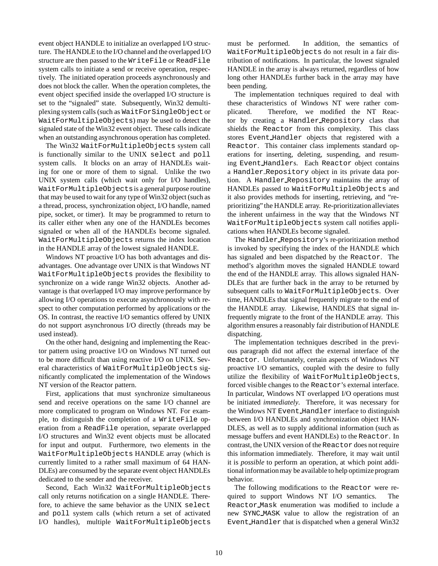event object HANDLE to initialize an overlapped I/O structure. The HANDLE to the I/O channel and the overlapped I/O structure are then passed to the WriteFile or ReadFile system calls to initiate a send or receive operation, respectively. The initiated operation proceeds asynchronously and does not block the caller. When the operation completes, the event object specified inside the overlapped I/O structure is set to the "signaled" state. Subsequently, Win32 demultiplexing system calls (such as WaitForSingleObject or WaitForMultipleObjects) may be used to detect the signaled state of the Win32 event object. These calls indicate when an outstanding asynchronous operation has completed.

The Win32 WaitForMultipleObjects system call is functionally similar to the UNIX select and poll system calls. It blocks on an array of HANDLEs waiting for one or more of them to signal. Unlike the two UNIX system calls (which wait only for I/O handles), WaitForMultipleObjectsis a general purpose routine that may be used to wait for any type of Win32 object (such as a thread, process, synchronization object, I/O handle, named pipe, socket, or timer). It may be programmed to return to its caller either when any one of the HANDLEs becomes signaled or when all of the HANDLEs become signaled. WaitForMultipleObjects returns the index location in the HANDLE array of the lowest signaled HANDLE.

Windows NT proactive I/O has both advantages and disadvantages. One advantage over UNIX is that Windows NT WaitForMultipleObjects provides the flexibility to synchronize on a wide range Win32 objects. Another advantage is that overlapped I/O may improve performance by allowing I/O operations to execute asynchronously with respect to other computation performed by applications or the OS. In contrast, the reactive I/O semantics offered by UNIX do not support asynchronous I/O directly (threads may be used instead).

On the other hand, designing and implementing the Reactor pattern using proactive I/O on Windows NT turned out to be more difficult than using reactive I/O on UNIX. Several characteristics of WaitForMultipleObjects significantly complicated the implementation of the Windows NT version of the Reactor pattern.

First, applications that must synchronize simultaneous send and receive operations on the same I/O channel are more complicated to program on Windows NT. For example, to distinguish the completion of a WriteFile operation from a ReadFile operation, separate overlapped I/O structures and Win32 event objects must be allocated for input and output. Furthermore, two elements in the WaitForMultipleObjects HANDLE array (which is currently limited to a rather small maximum of 64 HAN-DLEs) are consumed by the separate event object HANDLEs dedicated to the sender and the receiver.

Second, Each Win32 WaitForMultipleObjects call only returns notification on a single HANDLE. Therefore, to achieve the same behavior as the UNIX select and poll system calls (which return a set of activated I/O handles), multiple WaitForMultipleObjects

must be performed. In addition, the semantics of WaitForMultipleObjects do not result in a fair distribution of notifications. In particular, the lowest signaled HANDLE in the array is always returned, regardless of how long other HANDLEs further back in the array may have been pending.

The implementation techniques required to deal with these characteristics of Windows NT were rather complicated. Therefore, we modified the NT Reactor by creating a Handler Repository class that shields the Reactor from this complexity. This class stores Event Handler objects that registered with a Reactor. This container class implements standard operations for inserting, deleting, suspending, and resuming Event Handlers. Each Reactor object contains a Handler Repository object in its private data portion. A Handler Repository maintains the array of HANDLEs passed to WaitForMultipleObjects and it also provides methods for inserting, retrieving, and "reprioritizing" the HANDLE array. Re-prioritizationalleviates the inherent unfairness in the way that the Windows NT WaitForMultipleObjects system call notifies applications when HANDLEs become signaled.

The Handler Repository's re-prioritization method is invoked by specifying the index of the HANDLE which has signaled and been dispatched by the Reactor. The method's algorithm moves the signaled HANDLE toward the end of the HANDLE array. This allows signaled HAN-DLEs that are further back in the array to be returned by subsequent calls to WaitForMultipleObjects. Over time, HANDLEs that signal frequently migrate to the end of the HANDLE array. Likewise, HANDLES that signal infrequently migrate to the front of the HANDLE array. This algorithm ensures a reasonably fair distribution of HANDLE dispatching.

The implementation techniques described in the previous paragraph did not affect the external interface of the Reactor. Unfortunately, certain aspects of Windows NT proactive I/O semantics, coupled with the desire to fully utilize the flexibility of WaitForMultipleObjects, forced visible changes to the Reactor's external interface. In particular, Windows NT overlapped I/O operations must be initiated *immediately*. Therefore, it was necessary for the Windows NT Event Handler interface to distinguish between I/O HANDLEs and synchronization object HAN-DLES, as well as to supply additional information (such as message buffers and event HANDLEs) to the Reactor. In contrast, the UNIX version of the Reactor does not require this information immediately. Therefore, it may wait until it is *possible* to perform an operation, at which point additional informationmay be available to help optimize program behavior.

The following modifications to the Reactor were required to support Windows NT I/O semantics. The Reactor Mask enumeration was modified to include a new SYNC MASK value to allow the registration of an Event Handler that is dispatched when a general Win32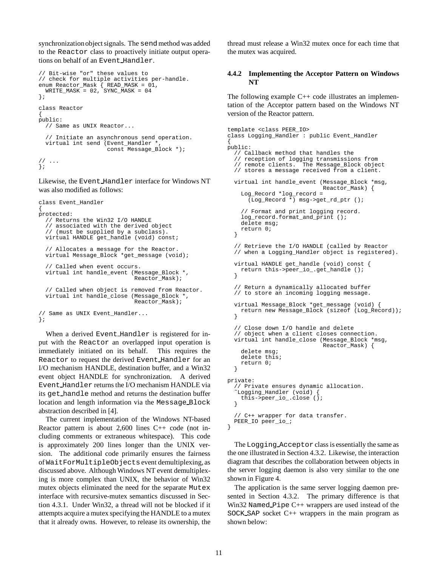synchronization object signals. The send method was added to the Reactor class to proactively initiate output operations on behalf of an Event Handler.

```
// Bit-wise "or" these values to
// check for multiple activities per-handle.
enum Reactor_Mask { READ_MASK = 01,
 WRITE_MASK = 02, SYNC_MASK = 04
};
class Reactor
{
public:
  // Same as UNIX Reactor...
  // Initiate an asynchronous send operation.
  virtual int send (Event_Handler *
                    const Message_Block *);
// ...
};
```
Likewise, the Event Handler interface for Windows NT was also modified as follows:

```
class Event_Handler
{
protected:
  // Returns the Win32 I/O HANDLE
  // associated with the derived object
  // (must be supplied by a subclass).
  virtual HANDLE get_handle (void) const;
  // Allocates a message for the Reactor.
  virtual Message_Block *get_message (void);
  // Called when event occurs.
 virtual int handle_event (Message_Block *,
                             Reactor_Mask);
  // Called when object is removed from Reactor.
  virtual int handle_close (Message_Block *,
                             Reactor_Mask);
// Same as UNIX Event_Handler...
\mathcal{E}
```
When a derived Event Handler is registered for input with the Reactor an overlapped input operation is immediately initiated on its behalf. This requires the Reactor to request the derived Event Handler for an I/O mechanism HANDLE, destination buffer, and a Win32 event object HANDLE for synchronization. A derived Event Handler returns the I/O mechanism HANDLE via its get handle method and returns the destination buffer location and length information via the Message Block abstraction described in [4].

The current implementation of the Windows NT-based Reactor pattern is about 2,600 lines C++ code (not including comments or extraneous whitespace). This code is approximately 200 lines longer than the UNIX version. The additional code primarily ensures the fairness of WaitForMultipleObjectsevent demultiplexing, as discussed above. Although Windows NT event demultiplexing is more complex than UNIX, the behavior of Win32 mutex objects eliminated the need for the separate Mutex interface with recursive-mutex semantics discussed in Section 4.3.1. Under Win32, a thread will not be blocked if it attempts acquire a mutex specifying the HANDLE to a mutex that it already owns. However, to release its ownership, the thread must release a Win32 mutex once for each time that the mutex was acquired.

#### **4.4.2 Implementing the Acceptor Pattern on Windows NT**

The following example  $C++$  code illustrates an implementation of the Acceptor pattern based on the Windows NT version of the Reactor pattern.

```
template <class PEER_IO>
class Logging_Handler : public Event_Handler
{
public:
 // Callback method that handles the
  // reception of logging transmissions from
  // remote clients. The Message_Block object
  // stores a message received from a client.
  virtual int handle_event (Message_Block *msg,
                            Reactor_Mask) {
    Log_Record *log_record =
      (Log_Record *) msg->get_rd_ptr ();
    // Format and print logging record.
    log_record.format_and_print ();
    delete msg;
    return 0;
  }
  // Retrieve the I/O HANDLE (called by Reactor
  // when a Logging_Handler object is registered).
  virtual HANDLE get_handle (void) const {
   return this->peer_io_.get_handle ();
  }
  // Return a dynamically allocated buffer
  // to store an incoming logging message.
  virtual Message_Block *get_message (void) {
    return new Message_Block (sizeof (Log_Record));
  }
  // Close down I/O handle and delete
  // object when a client closes connection.
  virtual int handle_close (Message_Block *msg,
                            Reactor_Mask) {
    delete msg;
    delete this;
    return 0;
  }
private:
  // Private ensures dynamic allocation.
  ˜Logging_Handler (void) {
    this->peer_io_.close ();
  }
  // C++ wrapper for data transfer.
 PEER_IO peer_io_;
}
```
The Logging Acceptor class is essentially the same as the one illustrated in Section 4.3.2. Likewise, the interaction diagram that describes the collaboration between objects in the server logging daemon is also very similar to the one shown in Figure 4.

The application is the same server logging daemon presented in Section 4.3.2. The primary difference is that Win32 Named Pipe C++ wrappers are used instead of the SOCK SAP socket C++ wrappers in the main program as shown below: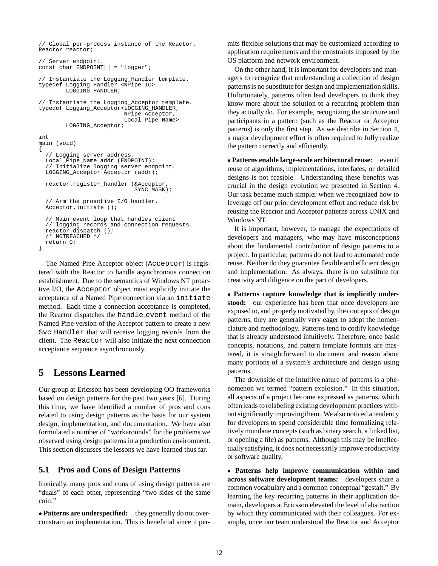```
// Global per-process instance of the Reactor.
Reactor reactor;
// Server endpoint.
const char ENDPOINT[] = "logger";
// Instantiate the Logging_Handler template.
typedef Logging_Handler <NPipe_IO>
        LOGGING_HANDLER;
// Instantiate the Logging Acceptor template.
typedef Logging_Acceptor<LOGGING_HANDLER,
                         NPipe_Acceptor,
                         Local_Pipe_Name>
        LOGGING_Acceptor;
int
main (void)
{
  // Logging server address.
  Local_Pipe_Name addr (ENDPOINT);
  // Initialize logging server endpoint.
  LOGGING_Acceptor Acceptor (addr);
  reactor.register_handler (&Acceptor,
                            SYNC_MASK);
  // Arm the proactive I/O handler.
  Acceptor.initiate ();
  // Main event loop that handles client
  // logging records and connection requests.
  reactor.dispatch ();
  /* NOTREACHED */
  return 0;
}
```
The Named Pipe Acceptor object (Acceptor) is registered with the Reactor to handle asynchronous connection establishment. Due to the semantics of Windows NT proactive I/O, the Acceptor object must explicitly initiate the acceptance of a Named Pipe connection via an initiate method. Each time a connection acceptance is completed, the Reactor dispatches the handle event method of the Named Pipe version of the Acceptor pattern to create a new Svc Handler that will receive logging records from the client. The Reactor will also initiate the next connection acceptance sequence asynchronously.

# **5 Lessons Learned**

Our group at Ericsson has been developing OO frameworks based on design patterns for the past two years [6]. During this time, we have identified a number of pros and cons related to using design patterns as the basis for our system design, implementation, and documentation. We have also formulated a number of "workarounds" for the problems we observed using design patterns in a production environment. This section discusses the lessons we have learned thus far.

### **5.1 Pros and Cons of Design Patterns**

Ironically, many pros and cons of using design patterns are "duals" of each other, representing "two sides of the same coin:"

 **Patterns are underspecified:** they generally do not overconstrain an implementation. This is beneficial since it permits flexible solutions that may be customized according to application requirements and the constraints imposed by the OS platform and network environment.

On the other hand, it is important for developers and managers to recognize that understanding a collection of design patterns is no substitute for design and implementation skills. Unfortunately, patterns often lead developers to think they know more about the solution to a recurring problem than they actually do. For example, recognizing the structure and participants in a pattern (such as the Reactor or Acceptor patterns) is only the first step. As we describe in Section 4, a major development effort is often required to fully realize the pattern correctly and efficiently.

**Patterns enable large-scale architectural reuse:** even if reuse of algorithms, implementations, interfaces, or detailed designs is not feasible. Understanding these benefits was crucial in the design evolution we presented in Section 4. Our task became much simpler when we recognized how to leverage off our prior development effort and reduce risk by reusing the Reactor and Acceptor patterns across UNIX and Windows NT.

It is important, however, to manage the expectations of developers and managers, who may have misconceptions about the fundamental contribution of design patterns to a project. In particular, patterns do not lead to automated code reuse. Neither do they guarantee flexible and efficient design and implementation. As always, there is no substitute for creativity and diligence on the part of developers.

 **Patterns capture knowledge that is implicitly understood:** our experience has been that once developers are exposed to, and properly motivated by, the concepts of design patterns, they are generally very eager to adopt the nomenclature and methodology. Patterns tend to codify knowledge that is already understood intuitively. Therefore, once basic concepts, notations, and pattern template formats are mastered, it is straightforward to document and reason about many portions of a system's architecture and design using patterns.

The downside of the intuitive nature of patterns is a phenomenon we termed "pattern explosion." In this situation, all aspects of a project become expressed as patterns, which often leads to relabeling existing development practices without significantlyimprovingthem. We also noticed a tendency for developers to spend considerable time formalizing relatively mundane concepts (such as binary search, a linked list, or opening a file) as patterns. Although this may be intellectually satisfying, it does not necessarily improve productivity or software quality.

 **Patterns help improve communication within and across software development teams:** developers share a common vocabulary and a common conceptual "gestalt." By learning the key recurring patterns in their application domain, developers at Ericsson elevated the level of abstraction by which they communicated with their colleagues. For example, once our team understood the Reactor and Acceptor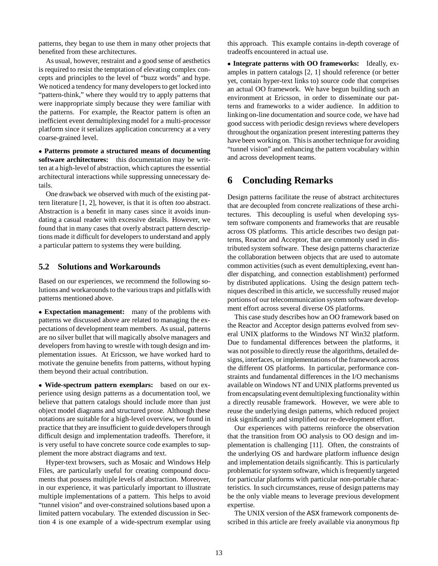patterns, they began to use them in many other projects that benefited from these architectures.

As usual, however, restraint and a good sense of aesthetics is required to resist the temptation of elevating complex concepts and principles to the level of "buzz words" and hype. We noticed a tendency for many developers to get locked into "pattern-think," where they would try to apply patterns that were inappropriate simply because they were familiar with the patterns. For example, the Reactor pattern is often an inefficient event demultiplexing model for a multi-processor platform since it serializes application concurrency at a very coarse-grained level.

 **Patterns promote a structured means of documenting software architectures:** this documentation may be written at a high-level of abstraction, which captures the essential architectural interactions while suppressing unnecessary details.

One drawback we observed with much of the existing pattern literature [1, 2], however, is that it is often *too* abstract. Abstraction is a benefit in many cases since it avoids inundating a casual reader with excessive details. However, we found that in many cases that overly abstract pattern descriptions made it difficult for developers to understand and apply a particular pattern to systems they were building.

### **5.2 Solutions and Workarounds**

Based on our experiences, we recommend the following solutions and workarounds to the various traps and pitfalls with patterns mentioned above.

 **Expectation management:** many of the problems with patterns we discussed above are related to managing the expectations of development team members. As usual, patterns are no silver bullet that will magically absolve managers and developers from having to wrestle with tough design and implementation issues. At Ericsson, we have worked hard to motivate the genuine benefits from patterns, without hyping them beyond their actual contribution.

 **Wide-spectrum pattern exemplars:** based on our experience using design patterns as a documentation tool, we believe that pattern catalogs should include more than just object model diagrams and structured prose. Although these notations are suitable for a high-level overview, we found in practice that they are insufficient to guide developers through difficult design and implementation tradeoffs. Therefore, it is very useful to have concrete source code examples to supplement the more abstract diagrams and text.

Hyper-text browsers, such as Mosaic and Windows Help Files, are particularly useful for creating compound documents that possess multiple levels of abstraction. Moreover, in our experience, it was particularly important to illustrate multiple implementations of a pattern. This helps to avoid "tunnel vision" and over-constrained solutions based upon a limited pattern vocabulary. The extended discussion in Section 4 is one example of a wide-spectrum exemplar using

this approach. This example contains in-depth coverage of tradeoffs encountered in actual use.

 **Integrate patterns with OO frameworks:** Ideally, examples in pattern catalogs [2, 1] should reference (or better yet, contain hyper-text links to) source code that comprises an actual OO framework. We have begun building such an environment at Ericsson, in order to disseminate our patterns and frameworks to a wider audience. In addition to linking on-line documentation and source code, we have had good success with periodic design reviews where developers throughout the organization present interesting patterns they have been working on. This is another technique for avoiding "tunnel vision" and enhancing the pattern vocabulary within and across development teams.

# **6 Concluding Remarks**

Design patterns facilitate the reuse of abstract architectures that are decoupled from concrete realizations of these architectures. This decoupling is useful when developing system software components and frameworks that are reusable across OS platforms. This article describes two design patterns, Reactor and Acceptor, that are commonly used in distributed system software. These design patterns characterize the collaboration between objects that are used to automate common activities (such as event demultiplexing, event handler dispatching, and connection establishment) performed by distributed applications. Using the design pattern techniques described in this article, we successfully reused major portions of our telecommunication system software development effort across several diverse OS platforms.

This case study describes how an OO framework based on the Reactor and Acceptor design patterns evolved from several UNIX platforms to the Windows NT Win32 platform. Due to fundamental differences between the platforms, it was not possible to directly reuse the algorithms, detailed designs, interfaces, or implementations of the framework across the different OS platforms. In particular, performance constraints and fundamental differences in the I/O mechanisms available on Windows NT and UNIX platforms prevented us from encapsulating event demultiplexing functionality within a directly reusable framework. However, we were able to reuse the underlying design patterns, which reduced project risk significantly and simplified our re-development effort.

Our experiences with patterns reinforce the observation that the transition from OO analysis to OO design and implementation is challenging [11]. Often, the constraints of the underlying OS and hardware platform influence design and implementation details significantly. This is particularly problematic for system software, which is frequently targeted for particular platforms with particular non-portable characteristics. In such circumstances, reuse of design patterns may be the only viable means to leverage previous development expertise.

The UNIX version of the ASX framework components described in this article are freely available via anonymous ftp